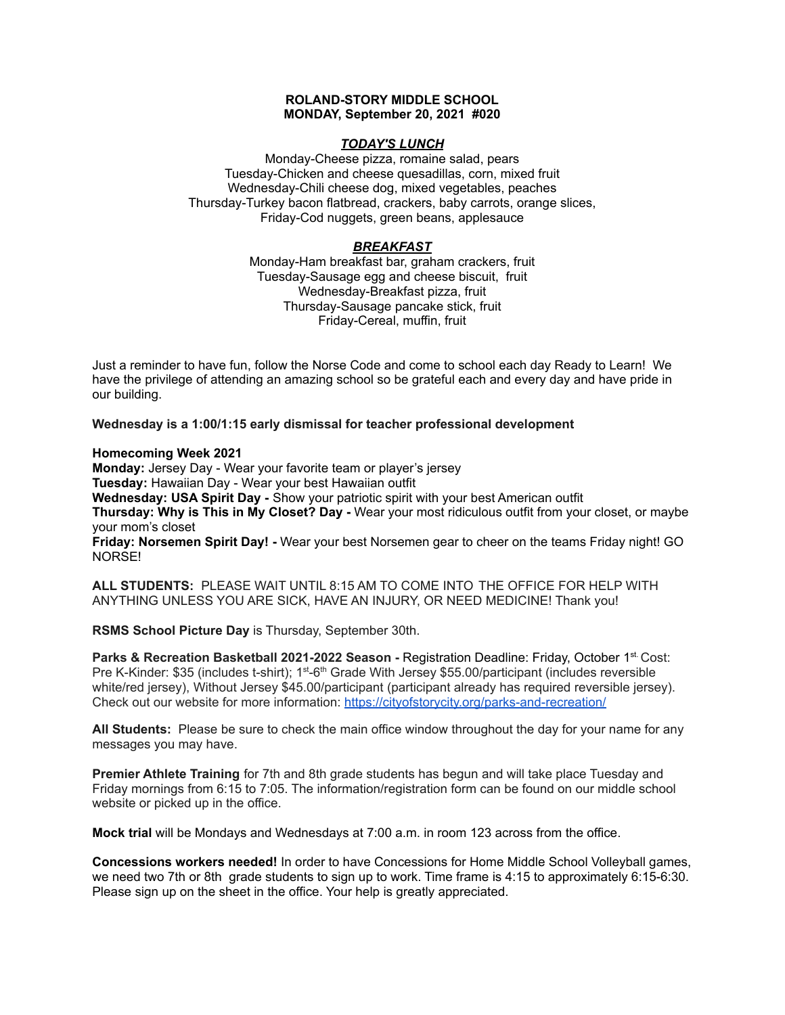# **ROLAND-STORY MIDDLE SCHOOL MONDAY, September 20, 2021 #020**

## *TODAY'S LUNCH*

Monday-Cheese pizza, romaine salad, pears Tuesday-Chicken and cheese quesadillas, corn, mixed fruit Wednesday-Chili cheese dog, mixed vegetables, peaches Thursday-Turkey bacon flatbread, crackers, baby carrots, orange slices, Friday-Cod nuggets, green beans, applesauce

# *BREAKFAST*

Monday-Ham breakfast bar, graham crackers, fruit Tuesday-Sausage egg and cheese biscuit, fruit Wednesday-Breakfast pizza, fruit Thursday-Sausage pancake stick, fruit Friday-Cereal, muffin, fruit

Just a reminder to have fun, follow the Norse Code and come to school each day Ready to Learn! We have the privilege of attending an amazing school so be grateful each and every day and have pride in our building.

**Wednesday is a 1:00/1:15 early dismissal for teacher professional development**

**Homecoming Week 2021**

**Monday:** Jersey Day - Wear your favorite team or player's jersey **Tuesday:** Hawaiian Day - Wear your best Hawaiian outfit **Wednesday: USA Spirit Day -** Show your patriotic spirit with your best American outfit **Thursday: Why is This in My Closet? Day -** Wear your most ridiculous outfit from your closet, or maybe your mom's closet

**Friday: Norsemen Spirit Day! -** Wear your best Norsemen gear to cheer on the teams Friday night! GO NORSE!

**ALL STUDENTS:** PLEASE WAIT UNTIL 8:15 AM TO COME INTO THE OFFICE FOR HELP WITH ANYTHING UNLESS YOU ARE SICK, HAVE AN INJURY, OR NEED MEDICINE! Thank you!

**RSMS School Picture Day** is Thursday, September 30th.

**Parks & Recreation Basketball 2021-2022 Season -** Registration Deadline: Friday, October 1 st. Cost: Pre K-Kinder: \$35 (includes t-shirt); 1<sup>st</sup>-6<sup>th</sup> Grade With Jersey \$55.00/participant (includes reversible white/red jersey), Without Jersey \$45.00/participant (participant already has required reversible jersey). Check out our website for more information: <https://cityofstorycity.org/parks-and-recreation/>

**All Students:** Please be sure to check the main office window throughout the day for your name for any messages you may have.

**Premier Athlete Training** for 7th and 8th grade students has begun and will take place Tuesday and Friday mornings from 6:15 to 7:05. The information/registration form can be found on our middle school website or picked up in the office.

**Mock trial** will be Mondays and Wednesdays at 7:00 a.m. in room 123 across from the office.

**Concessions workers needed!** In order to have Concessions for Home Middle School Volleyball games, we need two 7th or 8th grade students to sign up to work. Time frame is 4:15 to approximately 6:15-6:30. Please sign up on the sheet in the office. Your help is greatly appreciated.